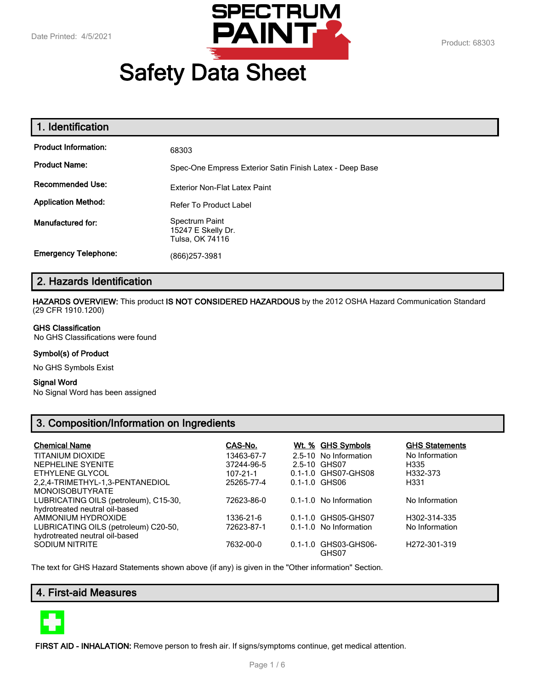

# **Safety Data Sheet**

| 1. Identification           |                                                          |
|-----------------------------|----------------------------------------------------------|
| <b>Product Information:</b> | 68303                                                    |
| <b>Product Name:</b>        | Spec-One Empress Exterior Satin Finish Latex - Deep Base |
| <b>Recommended Use:</b>     | Exterior Non-Flat Latex Paint                            |
| <b>Application Method:</b>  | <b>Refer To Product Label</b>                            |
| Manufactured for:           | Spectrum Paint<br>15247 E Skelly Dr.<br>Tulsa, OK 74116  |
| <b>Emergency Telephone:</b> | (866)257-3981                                            |

# **2. Hazards Identification**

**HAZARDS OVERVIEW:** This product **IS NOT CONSIDERED HAZARDOUS** by the 2012 OSHA Hazard Communication Standard (29 CFR 1910.1200)

#### **GHS Classification**

No GHS Classifications were found

## **Symbol(s) of Product**

No GHS Symbols Exist

#### **Signal Word**

No Signal Word has been assigned

# **3. Composition/Information on Ingredients**

| <b>Chemical Name</b>                  | CAS-No.        | Wt. % GHS Symbols             | <b>GHS Statements</b>     |
|---------------------------------------|----------------|-------------------------------|---------------------------|
| TITANIUM DIOXIDE                      | 13463-67-7     | 2.5-10 No Information         | No Information            |
| NEPHELINE SYENITE                     | 37244-96-5     | 2.5-10 GHS07                  | H335                      |
| ETHYLENE GLYCOL                       | $107 - 21 - 1$ | 0.1-1.0 GHS07-GHS08           | H332-373                  |
| 2.2.4-TRIMETHYL-1.3-PENTANEDIOL       | 25265-77-4     | $0.1 - 1.0$ GHS06             | H331                      |
| <b>MONOISOBUTYRATE</b>                |                |                               |                           |
| LUBRICATING OILS (petroleum), C15-30, | 72623-86-0     | 0.1-1.0 No Information        | No Information            |
| hydrotreated neutral oil-based        |                |                               |                           |
| AMMONIUM HYDROXIDE                    | 1336-21-6      | 0.1-1.0 GHS05-GHS07           | H302-314-335              |
| LUBRICATING OILS (petroleum) C20-50,  | 72623-87-1     | 0.1-1.0 No Information        | No Information            |
| hydrotreated neutral oil-based        |                |                               |                           |
| SODIUM NITRITE                        | 7632-00-0      | 0.1-1.0 GHS03-GHS06-<br>GHS07 | H <sub>272</sub> -301-319 |

The text for GHS Hazard Statements shown above (if any) is given in the "Other information" Section.

# **4. First-aid Measures**



**FIRST AID - INHALATION:** Remove person to fresh air. If signs/symptoms continue, get medical attention.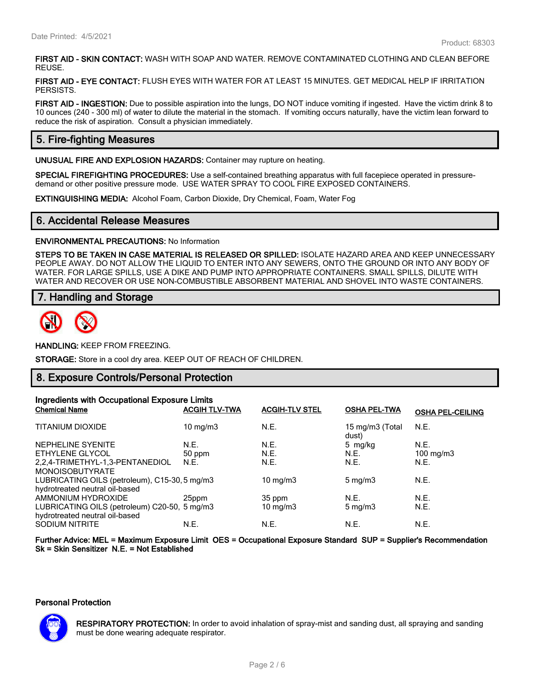**FIRST AID - SKIN CONTACT:** WASH WITH SOAP AND WATER. REMOVE CONTAMINATED CLOTHING AND CLEAN BEFORE REUSE.

**FIRST AID - EYE CONTACT:** FLUSH EYES WITH WATER FOR AT LEAST 15 MINUTES. GET MEDICAL HELP IF IRRITATION PERSISTS.

**FIRST AID - INGESTION:** Due to possible aspiration into the lungs, DO NOT induce vomiting if ingested. Have the victim drink 8 to 10 ounces (240 - 300 ml) of water to dilute the material in the stomach. If vomiting occurs naturally, have the victim lean forward to reduce the risk of aspiration. Consult a physician immediately.

# **5. Fire-fighting Measures**

**UNUSUAL FIRE AND EXPLOSION HAZARDS:** Container may rupture on heating.

**SPECIAL FIREFIGHTING PROCEDURES:** Use a self-contained breathing apparatus with full facepiece operated in pressuredemand or other positive pressure mode. USE WATER SPRAY TO COOL FIRE EXPOSED CONTAINERS.

**EXTINGUISHING MEDIA:** Alcohol Foam, Carbon Dioxide, Dry Chemical, Foam, Water Fog

## **6. Accidental Release Measures**

**ENVIRONMENTAL PRECAUTIONS:** No Information

**STEPS TO BE TAKEN IN CASE MATERIAL IS RELEASED OR SPILLED:** ISOLATE HAZARD AREA AND KEEP UNNECESSARY PEOPLE AWAY. DO NOT ALLOW THE LIQUID TO ENTER INTO ANY SEWERS, ONTO THE GROUND OR INTO ANY BODY OF WATER. FOR LARGE SPILLS, USE A DIKE AND PUMP INTO APPROPRIATE CONTAINERS. SMALL SPILLS, DILUTE WITH WATER AND RECOVER OR USE NON-COMBUSTIBLE ABSORBENT MATERIAL AND SHOVEL INTO WASTE CONTAINERS.

## **7. Handling and Storage**



**HANDLING:** KEEP FROM FREEZING.

**STORAGE:** Store in a cool dry area. KEEP OUT OF REACH OF CHILDREN.

## **8. Exposure Controls/Personal Protection**

| Ingredients with Occupational Exposure Limits |                      |                       |                          |                         |
|-----------------------------------------------|----------------------|-----------------------|--------------------------|-------------------------|
| <b>Chemical Name</b>                          | <b>ACGIH TLV-TWA</b> | <b>ACGIH-TLV STEL</b> | <b>OSHA PEL-TWA</b>      | <b>OSHA PEL-CEILING</b> |
| <b>TITANIUM DIOXIDE</b>                       | 10 mg/m $3$          | N.E.                  | 15 mg/m3 (Total<br>dust) | N.E.                    |
| NEPHELINE SYENITE                             | N.E.                 | N.E.                  | 5 mg/kg                  | N.E.                    |
| ETHYLENE GLYCOL                               | 50 ppm               | N.E.                  | N.E.                     | $100 \text{ mg/m}$      |
| 2.2.4-TRIMETHYL-1.3-PENTANEDIOL               | N.E.                 | N.E.                  | N.E.                     | N.E.                    |
| <b>MONOISOBUTYRATE</b>                        |                      |                       |                          |                         |
| LUBRICATING OILS (petroleum), C15-30, 5 mg/m3 |                      | 10 mg/m $3$           | $5 \text{ mg/m}$         | N.E.                    |
| hydrotreated neutral oil-based                |                      |                       |                          |                         |
| AMMONIUM HYDROXIDE                            | 25ppm                | 35 ppm                | N.E.                     | N.E.                    |
| LUBRICATING OILS (petroleum) C20-50, 5 mg/m3  |                      | $10 \text{ mg/m}$     | $5 \text{ mg/m}$         | N.E.                    |
| hydrotreated neutral oil-based                |                      |                       |                          |                         |
| <b>SODIUM NITRITE</b>                         | N.E.                 | N.E.                  | N.E.                     | N.E.                    |

**Further Advice: MEL = Maximum Exposure Limit OES = Occupational Exposure Standard SUP = Supplier's Recommendation Sk = Skin Sensitizer N.E. = Not Established**

#### **Personal Protection**



**RESPIRATORY PROTECTION:** In order to avoid inhalation of spray-mist and sanding dust, all spraying and sanding must be done wearing adequate respirator.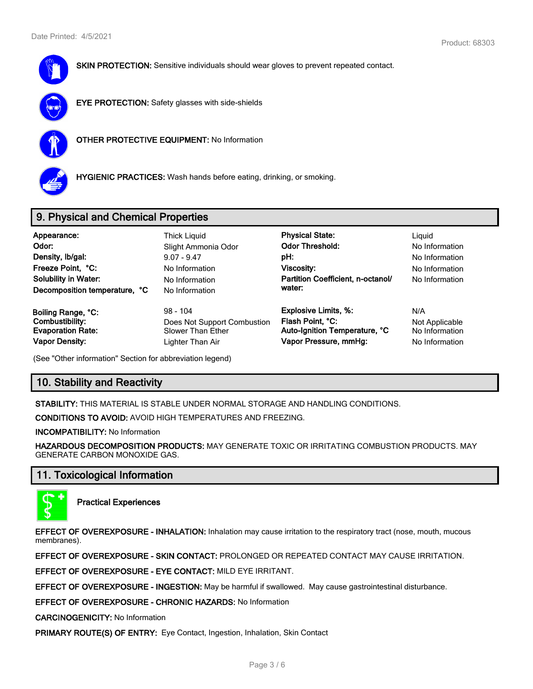

**SKIN PROTECTION:** Sensitive individuals should wear gloves to prevent repeated contact.



**EYE PROTECTION:** Safety glasses with side-shields



**OTHER PROTECTIVE EQUIPMENT:** No Information



**HYGIENIC PRACTICES:** Wash hands before eating, drinking, or smoking.

# **9. Physical and Chemical Properties**

| Appearance:<br>Odor:<br>Density, Ib/gal:<br>Freeze Point, °C:<br><b>Solubility in Water:</b><br>Decomposition temperature, °C | <b>Thick Liguid</b><br>Slight Ammonia Odor<br>$9.07 - 9.47$<br>No Information<br>No Information<br>No Information | <b>Physical State:</b><br><b>Odor Threshold:</b><br>pH:<br>Viscosity:<br>Partition Coefficient, n-octanol/<br>water: | Liguid<br>No Information<br>No Information<br>No Information<br>No Information |
|-------------------------------------------------------------------------------------------------------------------------------|-------------------------------------------------------------------------------------------------------------------|----------------------------------------------------------------------------------------------------------------------|--------------------------------------------------------------------------------|
| Boiling Range, °C:                                                                                                            | $98 - 104$                                                                                                        | <b>Explosive Limits, %:</b>                                                                                          | N/A                                                                            |
| Combustibility:                                                                                                               | Does Not Support Combustion                                                                                       | Flash Point, °C:                                                                                                     | Not Applicable                                                                 |
| <b>Evaporation Rate:</b>                                                                                                      | Slower Than Ether                                                                                                 | Auto-Ignition Temperature, °C                                                                                        | No Information                                                                 |
| <b>Vapor Density:</b>                                                                                                         | Lighter Than Air                                                                                                  | Vapor Pressure, mmHg:                                                                                                | No Information                                                                 |

(See "Other information" Section for abbreviation legend)

# **10. Stability and Reactivity**

**STABILITY:** THIS MATERIAL IS STABLE UNDER NORMAL STORAGE AND HANDLING CONDITIONS.

**CONDITIONS TO AVOID:** AVOID HIGH TEMPERATURES AND FREEZING.

**INCOMPATIBILITY:** No Information

**HAZARDOUS DECOMPOSITION PRODUCTS:** MAY GENERATE TOXIC OR IRRITATING COMBUSTION PRODUCTS. MAY GENERATE CARBON MONOXIDE GAS.

# **11. Toxicological Information**



**Practical Experiences**

**EFFECT OF OVEREXPOSURE - INHALATION:** Inhalation may cause irritation to the respiratory tract (nose, mouth, mucous membranes).

**EFFECT OF OVEREXPOSURE - SKIN CONTACT:** PROLONGED OR REPEATED CONTACT MAY CAUSE IRRITATION.

**EFFECT OF OVEREXPOSURE - EYE CONTACT:** MILD EYE IRRITANT.

**EFFECT OF OVEREXPOSURE - INGESTION:** May be harmful if swallowed. May cause gastrointestinal disturbance.

**EFFECT OF OVEREXPOSURE - CHRONIC HAZARDS:** No Information

**CARCINOGENICITY:** No Information

**PRIMARY ROUTE(S) OF ENTRY:** Eye Contact, Ingestion, Inhalation, Skin Contact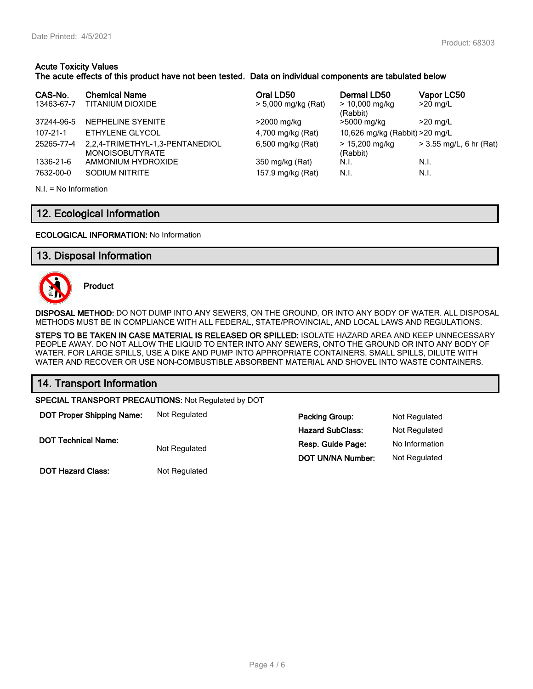## **Acute Toxicity Values**

## **The acute effects of this product have not been tested. Data on individual components are tabulated below**

| CAS-No.<br>13463-67-7 | <b>Chemical Name</b><br>TITANIUM DIOXIDE                  | Oral LD50<br>> 5,000 mg/kg (Rat) | Dermal LD50<br>$> 10,000$ mg/kg | Vapor LC50<br>$>20$ mg/L  |
|-----------------------|-----------------------------------------------------------|----------------------------------|---------------------------------|---------------------------|
|                       |                                                           |                                  | (Rabbit)                        |                           |
| 37244-96-5            | NEPHELINE SYENITE                                         | >2000 mg/kg                      | >5000 mg/kg                     | $>20$ mg/L                |
| $107 - 21 - 1$        | ETHYLENE GLYCOL                                           | 4,700 mg/kg (Rat)                | 10,626 mg/kg (Rabbit) > 20 mg/L |                           |
| 25265-77-4            | 2,2,4-TRIMETHYL-1,3-PENTANEDIOL<br><b>MONOISOBUTYRATE</b> | 6,500 mg/kg (Rat)                | > 15,200 mg/kg<br>(Rabbit)      | $>$ 3.55 mg/L, 6 hr (Rat) |
| 1336-21-6             | AMMONIUM HYDROXIDE                                        | 350 mg/kg (Rat)                  | N.I.                            | N.I.                      |
| 7632-00-0             | SODIUM NITRITE                                            | 157.9 mg/kg (Rat)                | N.I.                            | N.I.                      |

 $NI = No$  Information

# **12. Ecological Information**

## **ECOLOGICAL INFORMATION:** No Information

## **13. Disposal Information**



**Product**

**DISPOSAL METHOD:** DO NOT DUMP INTO ANY SEWERS, ON THE GROUND, OR INTO ANY BODY OF WATER. ALL DISPOSAL METHODS MUST BE IN COMPLIANCE WITH ALL FEDERAL, STATE/PROVINCIAL, AND LOCAL LAWS AND REGULATIONS.

**STEPS TO BE TAKEN IN CASE MATERIAL IS RELEASED OR SPILLED:** ISOLATE HAZARD AREA AND KEEP UNNECESSARY PEOPLE AWAY. DO NOT ALLOW THE LIQUID TO ENTER INTO ANY SEWERS, ONTO THE GROUND OR INTO ANY BODY OF WATER. FOR LARGE SPILLS, USE A DIKE AND PUMP INTO APPROPRIATE CONTAINERS. SMALL SPILLS, DILUTE WITH WATER AND RECOVER OR USE NON-COMBUSTIBLE ABSORBENT MATERIAL AND SHOVEL INTO WASTE CONTAINERS.

## **14. Transport Information**

**SPECIAL TRANSPORT PRECAUTIONS:** Not Regulated by DOT

| <b>DOT Proper Shipping Name:</b> | Not Regulated | <b>Packing Group:</b>    | Not Regulated        |
|----------------------------------|---------------|--------------------------|----------------------|
|                                  |               | <b>Hazard SubClass:</b>  | <b>Not Regulated</b> |
| <b>DOT Technical Name:</b>       | Not Regulated | Resp. Guide Page:        | No Information       |
|                                  |               | <b>DOT UN/NA Number:</b> | Not Regulated        |

**DOT Hazard Class:** Not Regulated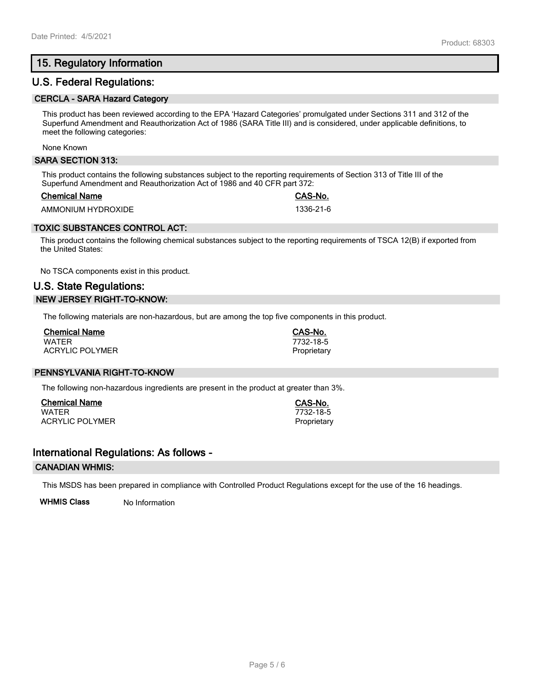# **15. Regulatory Information**

## **U.S. Federal Regulations:**

#### **CERCLA - SARA Hazard Category**

This product has been reviewed according to the EPA 'Hazard Categories' promulgated under Sections 311 and 312 of the Superfund Amendment and Reauthorization Act of 1986 (SARA Title III) and is considered, under applicable definitions, to meet the following categories:

None Known

#### **SARA SECTION 313:**

This product contains the following substances subject to the reporting requirements of Section 313 of Title III of the Superfund Amendment and Reauthorization Act of 1986 and 40 CFR part 372:

#### **Chemical Name CAS-No.**

AMMONIUM HYDROXIDE 1336-21-6

## **TOXIC SUBSTANCES CONTROL ACT:**

This product contains the following chemical substances subject to the reporting requirements of TSCA 12(B) if exported from the United States:

No TSCA components exist in this product.

# **U.S. State Regulations: NEW JERSEY RIGHT-TO-KNOW:**

The following materials are non-hazardous, but are among the top five components in this product.

| <b>Chemical Name</b>   |  |
|------------------------|--|
| <b>WATFR</b>           |  |
| <b>ACRYLIC POLYMER</b> |  |

## **PENNSYLVANIA RIGHT-TO-KNOW**

The following non-hazardous ingredients are present in the product at greater than 3%.

**Chemical Name CAS-No.** ACRYLIC POLYMER **Proprietary** Proprietary

## **International Regulations: As follows -**

#### **CANADIAN WHMIS:**

This MSDS has been prepared in compliance with Controlled Product Regulations except for the use of the 16 headings.

**WHMIS Class** No Information

# WATER 7732-18-5

**Chemical Name CAS-No.** WATER 7732-18-5 Proprietary